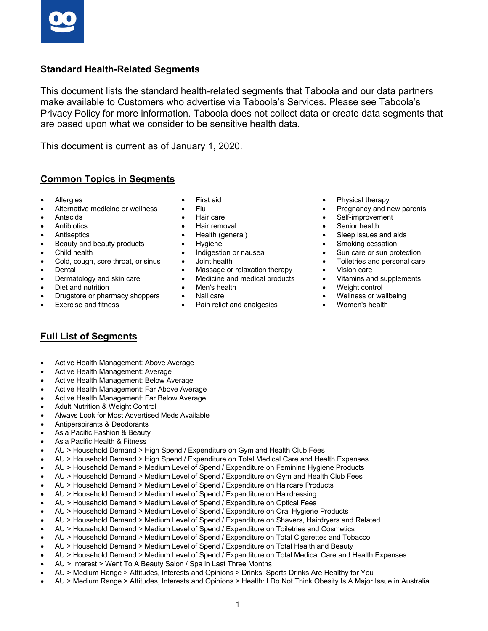## **Standard Health-Related Segments**

This document lists the standard health-related segments that Taboola and our data partners make available to Customers who advertise via Taboola's Services. Please see Taboola's Privacy Policy for more information. Taboola does not collect data or create data segments that are based upon what we consider to be sensitive health data.

This document is current as of January 1, 2020.

## **Common Topics in Segments**

- Allergies
- Alternative medicine or wellness
- Antacids
- **Antibiotics**
- **Antiseptics**
- Beauty and beauty products
- Child health
- Cold, cough, sore throat, or sinus
- Dental
- Dermatology and skin care
- Diet and nutrition
- Drugstore or pharmacy shoppers
- Exercise and fitness
- First aid
- Flu
- Hair care
- Hair removal
- Health (general)
- Hygiene
- Indigestion or nausea
- Joint health
- Massage or relaxation therapy
- Medicine and medical products
- Men's health
- Nail care
- Pain relief and analgesics
- Physical therapy
- Pregnancy and new parents
- Self-improvement
- Senior health
- Sleep issues and aids
- Smoking cessation
- Sun care or sun protection
- Toiletries and personal care
- Vision care
- Vitamins and supplements
- Weight control
- Wellness or wellbeing
- Women's health

## **Full List of Segments**

- Active Health Management: Above Average
- Active Health Management: Average
- Active Health Management: Below Average
- Active Health Management: Far Above Average
- Active Health Management: Far Below Average
- Adult Nutrition & Weight Control
- Always Look for Most Advertised Meds Available
- Antiperspirants & Deodorants
- Asia Pacific Fashion & Beauty
- Asia Pacific Health & Fitness
- AU > Household Demand > High Spend / Expenditure on Gym and Health Club Fees
- AU > Household Demand > High Spend / Expenditure on Total Medical Care and Health Expenses
- AU > Household Demand > Medium Level of Spend / Expenditure on Feminine Hygiene Products
- AU > Household Demand > Medium Level of Spend / Expenditure on Gym and Health Club Fees
- AU > Household Demand > Medium Level of Spend / Expenditure on Haircare Products
- AU > Household Demand > Medium Level of Spend / Expenditure on Hairdressing
- AU > Household Demand > Medium Level of Spend / Expenditure on Optical Fees
- AU > Household Demand > Medium Level of Spend / Expenditure on Oral Hygiene Products
- AU > Household Demand > Medium Level of Spend / Expenditure on Shavers, Hairdryers and Related
- AU > Household Demand > Medium Level of Spend / Expenditure on Toiletries and Cosmetics
- AU > Household Demand > Medium Level of Spend / Expenditure on Total Cigarettes and Tobacco
- AU > Household Demand > Medium Level of Spend / Expenditure on Total Health and Beauty
- AU > Household Demand > Medium Level of Spend / Expenditure on Total Medical Care and Health Expenses
- AU > Interest > Went To A Beauty Salon / Spa in Last Three Months
- AU > Medium Range > Attitudes, Interests and Opinions > Drinks: Sports Drinks Are Healthy for You
- AU > Medium Range > Attitudes, Interests and Opinions > Health: I Do Not Think Obesity Is A Major Issue in Australia
- 
- 
- 
- 
-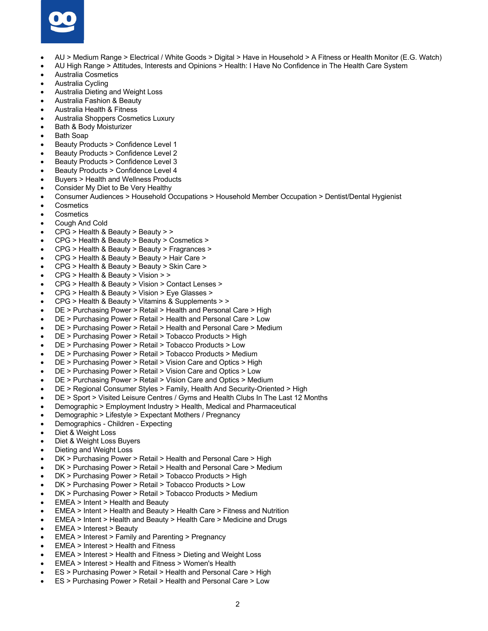

- AU > Medium Range > Electrical / White Goods > Digital > Have in Household > A Fitness or Health Monitor (E.G. Watch)
- AU High Range > Attitudes, Interests and Opinions > Health: I Have No Confidence in The Health Care System
- Australia Cosmetics
- Australia Cycling
- Australia Dieting and Weight Loss
- Australia Fashion & Beauty
- Australia Health & Fitness
- Australia Shoppers Cosmetics Luxury
- Bath & Body Moisturizer
- Bath Soap
- Beauty Products > Confidence Level 1
- Beauty Products > Confidence Level 2
- Beauty Products > Confidence Level 3
- Beauty Products > Confidence Level 4
- Buyers > Health and Wellness Products
- Consider My Diet to Be Very Healthy
- Consumer Audiences > Household Occupations > Household Member Occupation > Dentist/Dental Hygienist
- **Cosmetics**
- **Cosmetics**
- Cough And Cold
- CPG > Health & Beauty > Beauty > >
- CPG > Health & Beauty > Beauty > Cosmetics >
- CPG > Health & Beauty > Beauty > Fragrances >
- CPG > Health & Beauty > Beauty > Hair Care >
- CPG > Health & Beauty > Beauty > Skin Care >
- CPG > Health & Beauty > Vision > >
- CPG > Health & Beauty > Vision > Contact Lenses >
- CPG > Health & Beauty > Vision > Eye Glasses >
- CPG > Health & Beauty > Vitamins & Supplements > >
- DE > Purchasing Power > Retail > Health and Personal Care > High
- DE > Purchasing Power > Retail > Health and Personal Care > Low
- DE > Purchasing Power > Retail > Health and Personal Care > Medium
- DE > Purchasing Power > Retail > Tobacco Products > High
- DE > Purchasing Power > Retail > Tobacco Products > Low
- DE > Purchasing Power > Retail > Tobacco Products > Medium
- DE > Purchasing Power > Retail > Vision Care and Optics > High
- DE > Purchasing Power > Retail > Vision Care and Optics > Low
- DE > Purchasing Power > Retail > Vision Care and Optics > Medium
- DE > Regional Consumer Styles > Family, Health And Security-Oriented > High
- DE > Sport > Visited Leisure Centres / Gyms and Health Clubs In The Last 12 Months
- Demographic > Employment Industry > Health, Medical and Pharmaceutical
- Demographic > Lifestyle > Expectant Mothers / Pregnancy
- Demographics Children Expecting
- Diet & Weight Loss
- Diet & Weight Loss Buyers
- Dieting and Weight Loss
- DK > Purchasing Power > Retail > Health and Personal Care > High
- DK > Purchasing Power > Retail > Health and Personal Care > Medium
- DK > Purchasing Power > Retail > Tobacco Products > High
- DK > Purchasing Power > Retail > Tobacco Products > Low
- DK > Purchasing Power > Retail > Tobacco Products > Medium
- EMEA > Intent > Health and Beauty
- EMEA > Intent > Health and Beauty > Health Care > Fitness and Nutrition
- EMEA > Intent > Health and Beauty > Health Care > Medicine and Drugs
- EMEA > Interest > Beauty
- EMEA > Interest > Family and Parenting > Pregnancy
- EMEA > Interest > Health and Fitness
- EMEA > Interest > Health and Fitness > Dieting and Weight Loss
- EMEA > Interest > Health and Fitness > Women's Health
- ES > Purchasing Power > Retail > Health and Personal Care > High
- ES > Purchasing Power > Retail > Health and Personal Care > Low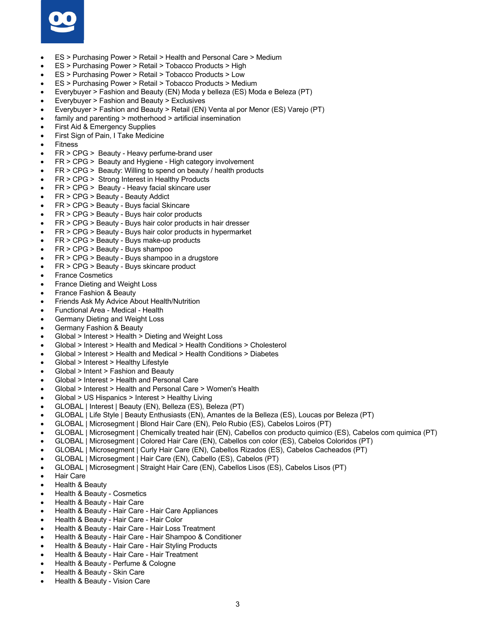

- ES > Purchasing Power > Retail > Health and Personal Care > Medium
- ES > Purchasing Power > Retail > Tobacco Products > High
- ES > Purchasing Power > Retail > Tobacco Products > Low
- ES > Purchasing Power > Retail > Tobacco Products > Medium
- Everybuyer > Fashion and Beauty (EN) Moda y belleza (ES) Moda e Beleza (PT)
- Everybuyer > Fashion and Beauty > Exclusives
- Everybuyer > Fashion and Beauty > Retail (EN) Venta al por Menor (ES) Varejo (PT)
- family and parenting > motherhood > artificial insemination
- First Aid & Emergency Supplies
- First Sign of Pain, I Take Medicine
- **Fitness**
- FR > CPG > Beauty Heavy perfume-brand user
- FR > CPG > Beauty and Hygiene High category involvement
- FR > CPG > Beauty: Willing to spend on beauty / health products
- FR > CPG > Strong Interest in Healthy Products
- FR > CPG > Beauty Heavy facial skincare user
- FR > CPG > Beauty Beauty Addict
- FR > CPG > Beauty Buys facial Skincare
- FR > CPG > Beauty Buys hair color products
- FR > CPG > Beauty Buys hair color products in hair dresser
- FR > CPG > Beauty Buys hair color products in hypermarket
- FR > CPG > Beauty Buys make-up products
- FR > CPG > Beauty Buys shampoo
- FR > CPG > Beauty Buys shampoo in a drugstore
- FR > CPG > Beauty Buys skincare product
- France Cosmetics
- France Dieting and Weight Loss
- France Fashion & Beauty
- Friends Ask My Advice About Health/Nutrition
- Functional Area Medical Health
- Germany Dieting and Weight Loss
- Germany Fashion & Beauty
- Global > Interest > Health > Dieting and Weight Loss
- Global > Interest > Health and Medical > Health Conditions > Cholesterol
- Global > Interest > Health and Medical > Health Conditions > Diabetes
- Global > Interest > Healthy Lifestyle
- Global > Intent > Fashion and Beauty
- Global > Interest > Health and Personal Care
- Global > Interest > Health and Personal Care > Women's Health
- Global > US Hispanics > Interest > Healthy Living
- GLOBAL | Interest | Beauty (EN), Belleza (ES), Beleza (PT)
- GLOBAL | Life Style | Beauty Enthusiasts (EN), Amantes de la Belleza (ES), Loucas por Beleza (PT)
- GLOBAL | Microsegment | Blond Hair Care (EN), Pelo Rubio (ES), Cabelos Loiros (PT)
- GLOBAL | Microsegment | Chemically treated hair (EN), Cabellos con producto quimico (ES), Cabelos com quimica (PT)
- GLOBAL | Microsegment | Colored Hair Care (EN), Cabellos con color (ES), Cabelos Coloridos (PT)
- GLOBAL | Microsegment | Curly Hair Care (EN), Cabellos Rizados (ES), Cabelos Cacheados (PT)
- GLOBAL | Microsegment | Hair Care (EN), Cabello (ES), Cabelos (PT)
- GLOBAL | Microsegment | Straight Hair Care (EN), Cabellos Lisos (ES), Cabelos Lisos (PT)
- Hair Care
- Health & Beauty
- Health & Beauty Cosmetics
- Health & Beauty Hair Care
- Health & Beauty Hair Care Hair Care Appliances
- Health & Beauty Hair Care Hair Color
- Health & Beauty Hair Care Hair Loss Treatment
- Health & Beauty Hair Care Hair Shampoo & Conditioner
- Health & Beauty Hair Care Hair Styling Products
- Health & Beauty Hair Care Hair Treatment
- Health & Beauty Perfume & Cologne
- Health & Beauty Skin Care
- Health & Beauty Vision Care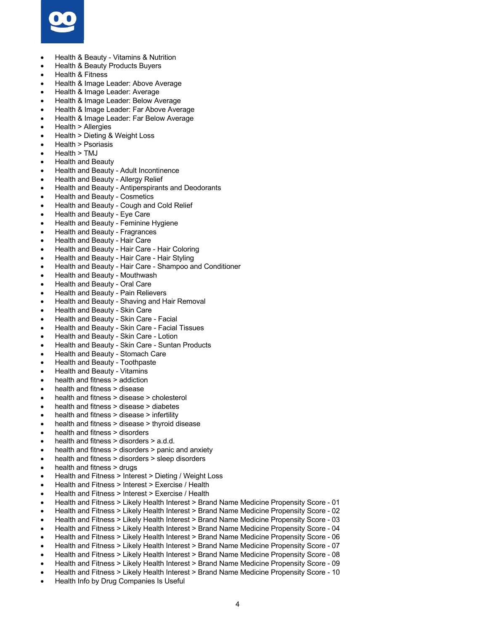

- Health & Beauty Vitamins & Nutrition
- Health & Beauty Products Buyers
- Health & Fitness
- Health & Image Leader: Above Average
- Health & Image Leader: Average
- Health & Image Leader: Below Average
- Health & Image Leader: Far Above Average
- Health & Image Leader: Far Below Average
- Health > Allergies
- Health > Dieting & Weight Loss
- Health > Psoriasis
- Health > TMJ
- Health and Beauty
- Health and Beauty Adult Incontinence
- Health and Beauty Allergy Relief
- Health and Beauty Antiperspirants and Deodorants
- Health and Beauty Cosmetics
- Health and Beauty Cough and Cold Relief
- Health and Beauty Eye Care
- Health and Beauty Feminine Hygiene
- Health and Beauty Fragrances
- Health and Beauty Hair Care
- Health and Beauty Hair Care Hair Coloring
- Health and Beauty Hair Care Hair Styling
- Health and Beauty Hair Care Shampoo and Conditioner
- Health and Beauty Mouthwash
- Health and Beauty Oral Care
- Health and Beauty Pain Relievers
- Health and Beauty Shaving and Hair Removal
- Health and Beauty Skin Care
- Health and Beauty Skin Care Facial
- Health and Beauty Skin Care Facial Tissues
- Health and Beauty Skin Care Lotion
- Health and Beauty Skin Care Suntan Products
- Health and Beauty Stomach Care
- Health and Beauty Toothpaste
- Health and Beauty Vitamins
- health and fitness > addiction
- health and fitness > disease
- health and fitness > disease > cholesterol
- health and fitness > disease > diabetes
- health and fitness > disease > infertility
- health and fitness > disease > thyroid disease
- health and fitness > disorders
- health and fitness > disorders > a.d.d.
- health and fitness > disorders > panic and anxiety
- health and fitness > disorders > sleep disorders
- health and fitness > drugs
- Health and Fitness > Interest > Dieting / Weight Loss
- Health and Fitness > Interest > Exercise / Health
- Health and Fitness > Interest > Exercise / Health
- Health and Fitness > Likely Health Interest > Brand Name Medicine Propensity Score 01
- Health and Fitness > Likely Health Interest > Brand Name Medicine Propensity Score 02
- Health and Fitness > Likely Health Interest > Brand Name Medicine Propensity Score 03
- Health and Fitness > Likely Health Interest > Brand Name Medicine Propensity Score 04
- Health and Fitness > Likely Health Interest > Brand Name Medicine Propensity Score 06
- Health and Fitness > Likely Health Interest > Brand Name Medicine Propensity Score 07
- Health and Fitness > Likely Health Interest > Brand Name Medicine Propensity Score 08
- Health and Fitness > Likely Health Interest > Brand Name Medicine Propensity Score 09
- Health and Fitness > Likely Health Interest > Brand Name Medicine Propensity Score 10
- Health Info by Drug Companies Is Useful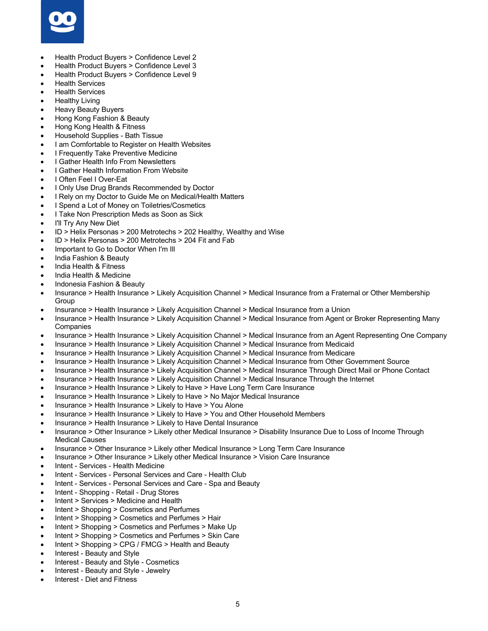

- Health Product Buyers > Confidence Level 2
- Health Product Buyers > Confidence Level 3
- Health Product Buyers > Confidence Level 9
- **Health Services**
- **Health Services**
- **Healthy Living**
- Heavy Beauty Buyers
- Hong Kong Fashion & Beauty
- Hong Kong Health & Fitness
- Household Supplies Bath Tissue
- I am Comfortable to Register on Health Websites
- I Frequently Take Preventive Medicine
- I Gather Health Info From Newsletters
- I Gather Health Information From Website
- I Often Feel I Over-Eat
- I Only Use Drug Brands Recommended by Doctor
- I Rely on my Doctor to Guide Me on Medical/Health Matters
- I Spend a Lot of Money on Toiletries/Cosmetics
- I Take Non Prescription Meds as Soon as Sick
- I'll Try Any New Diet
- ID > Helix Personas > 200 Metrotechs > 202 Healthy, Wealthy and Wise
- ID > Helix Personas > 200 Metrotechs > 204 Fit and Fab
- Important to Go to Doctor When I'm Ill
- India Fashion & Beauty
- India Health & Fitness
- India Health & Medicine
- Indonesia Fashion & Beauty
- Insurance > Health Insurance > Likely Acquisition Channel > Medical Insurance from a Fraternal or Other Membership **Group**
- Insurance > Health Insurance > Likely Acquisition Channel > Medical Insurance from a Union
- Insurance > Health Insurance > Likely Acquisition Channel > Medical Insurance from Agent or Broker Representing Many **Companies**
- Insurance > Health Insurance > Likely Acquisition Channel > Medical Insurance from an Agent Representing One Company
- Insurance > Health Insurance > Likely Acquisition Channel > Medical Insurance from Medicaid
- Insurance > Health Insurance > Likely Acquisition Channel > Medical Insurance from Medicare
- Insurance > Health Insurance > Likely Acquisition Channel > Medical Insurance from Other Government Source
- Insurance > Health Insurance > Likely Acquisition Channel > Medical Insurance Through Direct Mail or Phone Contact
- Insurance > Health Insurance > Likely Acquisition Channel > Medical Insurance Through the Internet
- Insurance > Health Insurance > Likely to Have > Have Long Term Care Insurance
- Insurance > Health Insurance > Likely to Have > No Major Medical Insurance
- Insurance > Health Insurance > Likely to Have > You Alone
- Insurance > Health Insurance > Likely to Have > You and Other Household Members
- Insurance > Health Insurance > Likely to Have Dental Insurance
- Insurance > Other Insurance > Likely other Medical Insurance > Disability Insurance Due to Loss of Income Through Medical Causes
- Insurance > Other Insurance > Likely other Medical Insurance > Long Term Care Insurance
- Insurance > Other Insurance > Likely other Medical Insurance > Vision Care Insurance
- Intent Services Health Medicine
- Intent Services Personal Services and Care Health Club
- Intent Services Personal Services and Care Spa and Beauty
- Intent Shopping Retail Drug Stores
- Intent > Services > Medicine and Health
- Intent > Shopping > Cosmetics and Perfumes
- Intent > Shopping > Cosmetics and Perfumes > Hair
- Intent > Shopping > Cosmetics and Perfumes > Make Up
- Intent > Shopping > Cosmetics and Perfumes > Skin Care
- Intent > Shopping > CPG / FMCG > Health and Beauty
- Interest Beauty and Style
- Interest Beauty and Style Cosmetics
- Interest Beauty and Style Jewelry
- Interest Diet and Fitness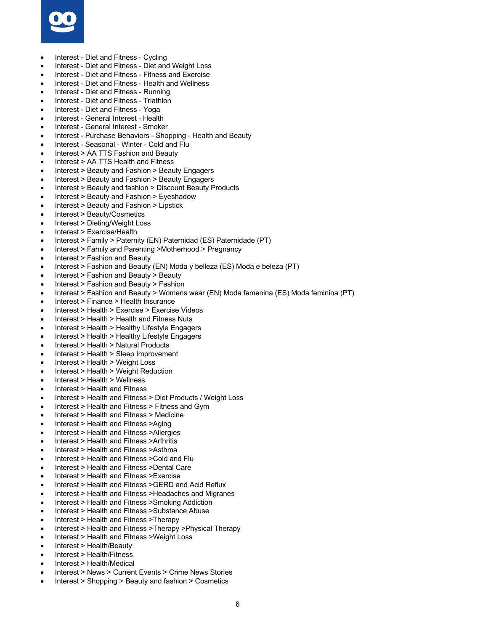

- Interest Diet and Fitness Cycling
- Interest Diet and Fitness Diet and Weight Loss
- Interest Diet and Fitness Fitness and Exercise
- Interest Diet and Fitness Health and Wellness
- Interest Diet and Fitness Running
- Interest Diet and Fitness Triathlon
- Interest Diet and Fitness Yoga
- Interest General Interest Health
- Interest General Interest Smoker
- Interest Purchase Behaviors Shopping Health and Beauty
- Interest Seasonal Winter Cold and Flu
- Interest > AA TTS Fashion and Beauty
- Interest > AA TTS Health and Fitness
- Interest > Beauty and Fashion > Beauty Engagers
- Interest > Beauty and Fashion > Beauty Engagers
- Interest > Beauty and fashion > Discount Beauty Products
- Interest > Beauty and Fashion > Eyeshadow
- Interest > Beauty and Fashion > Lipstick
- Interest > Beauty/Cosmetics
- Interest > Dieting/Weight Loss
- Interest > Exercise/Health
- Interest > Family > Paternity (EN) Paternidad (ES) Paternidade (PT)
- Interest > Family and Parenting >Motherhood > Pregnancy
- Interest > Fashion and Beauty
- Interest > Fashion and Beauty (EN) Moda y belleza (ES) Moda e beleza (PT)
- Interest > Fashion and Beauty > Beauty
- Interest > Fashion and Beauty > Fashion
- Interest > Fashion and Beauty > Womens wear (EN) Moda femenina (ES) Moda feminina (PT)
- Interest > Finance > Health Insurance
- Interest > Health > Exercise > Exercise Videos
- Interest > Health > Health and Fitness Nuts
- Interest > Health > Healthy Lifestyle Engagers
- Interest > Health > Healthy Lifestyle Engagers
- Interest > Health > Natural Products
- Interest > Health > Sleep Improvement
- Interest > Health > Weight Loss
- Interest > Health > Weight Reduction
- Interest > Health > Wellness
- Interest > Health and Fitness
- Interest > Health and Fitness > Diet Products / Weight Loss
- Interest > Health and Fitness > Fitness and Gym
- Interest > Health and Fitness > Medicine
- Interest > Health and Fitness >Aging
- Interest > Health and Fitness >Allergies
- Interest > Health and Fitness >Arthritis
- Interest > Health and Fitness >Asthma
- Interest > Health and Fitness >Cold and Flu
- Interest > Health and Fitness >Dental Care
- Interest > Health and Fitness >Exercise
- Interest > Health and Fitness >GERD and Acid Reflux
- Interest > Health and Fitness >Headaches and Migranes
- Interest > Health and Fitness >Smoking Addiction
- Interest > Health and Fitness >Substance Abuse
- Interest > Health and Fitness >Therapy
- Interest > Health and Fitness >Therapy >Physical Therapy
- Interest > Health and Fitness >Weight Loss
- Interest > Health/Beauty
- Interest > Health/Fitness
- Interest > Health/Medical
- Interest > News > Current Events > Crime News Stories
- Interest > Shopping > Beauty and fashion > Cosmetics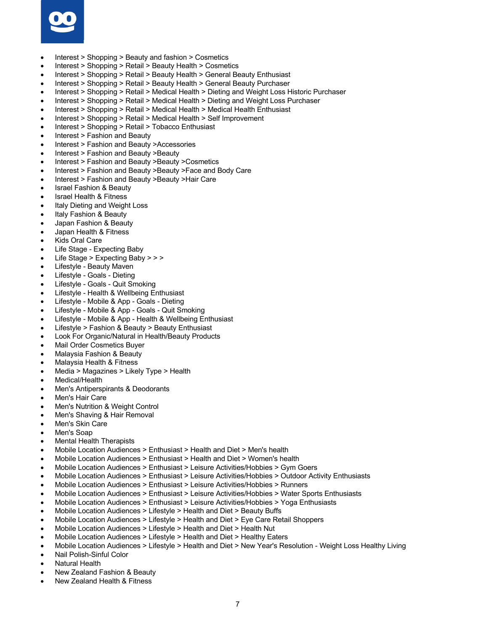

- Interest > Shopping > Beauty and fashion > Cosmetics
- Interest > Shopping > Retail > Beauty Health > Cosmetics
- Interest > Shopping > Retail > Beauty Health > General Beauty Enthusiast
- Interest > Shopping > Retail > Beauty Health > General Beauty Purchaser
- Interest > Shopping > Retail > Medical Health > Dieting and Weight Loss Historic Purchaser
- Interest > Shopping > Retail > Medical Health > Dieting and Weight Loss Purchaser
- Interest > Shopping > Retail > Medical Health > Medical Health Enthusiast
- Interest > Shopping > Retail > Medical Health > Self Improvement
- Interest > Shopping > Retail > Tobacco Enthusiast
- Interest > Fashion and Beauty
- Interest > Fashion and Beauty >Accessories
- Interest > Fashion and Beauty >Beauty
- Interest > Fashion and Beauty >Beauty >Cosmetics
- Interest > Fashion and Beauty >Beauty >Face and Body Care
- Interest > Fashion and Beauty >Beauty >Hair Care
- Israel Fashion & Beauty
- Israel Health & Fitness
- Italy Dieting and Weight Loss
- Italy Fashion & Beauty
- Japan Fashion & Beauty
- Japan Health & Fitness
- **Kids Oral Care**
- Life Stage Expecting Baby
- Life Stage > Expecting Baby > > >
- Lifestyle Beauty Maven
- Lifestyle Goals Dieting
- Lifestyle Goals Quit Smoking
- Lifestyle Health & Wellbeing Enthusiast
- Lifestyle Mobile & App Goals Dieting
- Lifestyle Mobile & App Goals Quit Smoking
- Lifestyle Mobile & App Health & Wellbeing Enthusiast
- Lifestyle > Fashion & Beauty > Beauty Enthusiast
- Look For Organic/Natural in Health/Beauty Products
- Mail Order Cosmetics Buyer
- Malaysia Fashion & Beauty
- Malaysia Health & Fitness
- Media > Magazines > Likely Type > Health
- Medical/Health
- Men's Antiperspirants & Deodorants
- Men's Hair Care
- Men's Nutrition & Weight Control
- Men's Shaving & Hair Removal
- Men's Skin Care
- Men's Soap
- Mental Health Therapists
- Mobile Location Audiences > Enthusiast > Health and Diet > Men's health
- Mobile Location Audiences > Enthusiast > Health and Diet > Women's health
- Mobile Location Audiences > Enthusiast > Leisure Activities/Hobbies > Gym Goers
- Mobile Location Audiences > Enthusiast > Leisure Activities/Hobbies > Outdoor Activity Enthusiasts
- Mobile Location Audiences > Enthusiast > Leisure Activities/Hobbies > Runners
- Mobile Location Audiences > Enthusiast > Leisure Activities/Hobbies > Water Sports Enthusiasts
- Mobile Location Audiences > Enthusiast > Leisure Activities/Hobbies > Yoga Enthusiasts
- Mobile Location Audiences > Lifestyle > Health and Diet > Beauty Buffs
- Mobile Location Audiences > Lifestyle > Health and Diet > Eye Care Retail Shoppers
- Mobile Location Audiences > Lifestyle > Health and Diet > Health Nut
- Mobile Location Audiences > Lifestyle > Health and Diet > Healthy Eaters
- Mobile Location Audiences > Lifestyle > Health and Diet > New Year's Resolution Weight Loss Healthy Living
- Nail Polish-Sinful Color
- Natural Health
- New Zealand Fashion & Beauty
- New Zealand Health & Fitness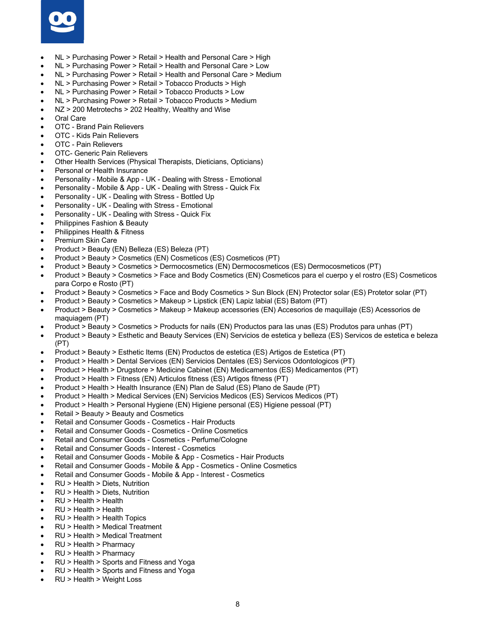

- NL > Purchasing Power > Retail > Health and Personal Care > High
- NL > Purchasing Power > Retail > Health and Personal Care > Low
- NL > Purchasing Power > Retail > Health and Personal Care > Medium
- NL > Purchasing Power > Retail > Tobacco Products > High
- NL > Purchasing Power > Retail > Tobacco Products > Low
- NL > Purchasing Power > Retail > Tobacco Products > Medium
- NZ > 200 Metrotechs > 202 Healthy, Wealthy and Wise
- Oral Care
- OTC Brand Pain Relievers
- OTC Kids Pain Relievers
- OTC Pain Relievers
- OTC- Generic Pain Relievers
- Other Health Services (Physical Therapists, Dieticians, Opticians)
- Personal or Health Insurance
- Personality Mobile & App UK Dealing with Stress Emotional
- Personality Mobile & App UK Dealing with Stress Quick Fix
- Personality UK Dealing with Stress Bottled Up
- Personality UK Dealing with Stress Emotional
- Personality UK Dealing with Stress Quick Fix
- Philippines Fashion & Beauty
- Philippines Health & Fitness
- Premium Skin Care
- Product > Beauty (EN) Belleza (ES) Beleza (PT)
- Product > Beauty > Cosmetics (EN) Cosmeticos (ES) Cosmeticos (PT)
- Product > Beauty > Cosmetics > Dermocosmetics (EN) Dermocosmeticos (ES) Dermocosmeticos (PT)
- Product > Beauty > Cosmetics > Face and Body Cosmetics (EN) Cosmeticos para el cuerpo y el rostro (ES) Cosmeticos para Corpo e Rosto (PT)
- Product > Beauty > Cosmetics > Face and Body Cosmetics > Sun Block (EN) Protector solar (ES) Protetor solar (PT)
- Product > Beauty > Cosmetics > Makeup > Lipstick (EN) Lapiz labial (ES) Batom (PT)
- Product > Beauty > Cosmetics > Makeup > Makeup accessories (EN) Accesorios de maquillaje (ES) Acessorios de maquiagem (PT)
- Product > Beauty > Cosmetics > Products for nails (EN) Productos para las unas (ES) Produtos para unhas (PT)
- Product > Beauty > Esthetic and Beauty Services (EN) Servicios de estetica y belleza (ES) Servicos de estetica e beleza (PT)
- Product > Beauty > Esthetic Items (EN) Productos de estetica (ES) Artigos de Estetica (PT)
- Product > Health > Dental Services (EN) Servicios Dentales (ES) Servicos Odontologicos (PT)
- Product > Health > Drugstore > Medicine Cabinet (EN) Medicamentos (ES) Medicamentos (PT)
- Product > Health > Fitness (EN) Articulos fitness (ES) Artigos fitness (PT)
- Product > Health > Health Insurance (EN) Plan de Salud (ES) Plano de Saude (PT)
- Product > Health > Medical Services (EN) Servicios Medicos (ES) Servicos Medicos (PT)
- Product > Health > Personal Hygiene (EN) Higiene personal (ES) Higiene pessoal (PT)
- Retail > Beauty > Beauty and Cosmetics
- Retail and Consumer Goods Cosmetics Hair Products
- Retail and Consumer Goods Cosmetics Online Cosmetics
- Retail and Consumer Goods Cosmetics Perfume/Cologne
- Retail and Consumer Goods Interest Cosmetics
- Retail and Consumer Goods Mobile & App Cosmetics Hair Products
- Retail and Consumer Goods Mobile & App Cosmetics Online Cosmetics
- Retail and Consumer Goods Mobile & App Interest Cosmetics
- RU > Health > Diets, Nutrition
- RU > Health > Diets, Nutrition
- RU > Health > Health
- RU > Health > Health
- RU > Health > Health Topics
- RU > Health > Medical Treatment
- RU > Health > Medical Treatment
- RU > Health > Pharmacy
- RU > Health > Pharmacy
- RU > Health > Sports and Fitness and Yoga
- RU > Health > Sports and Fitness and Yoga
- RU > Health > Weight Loss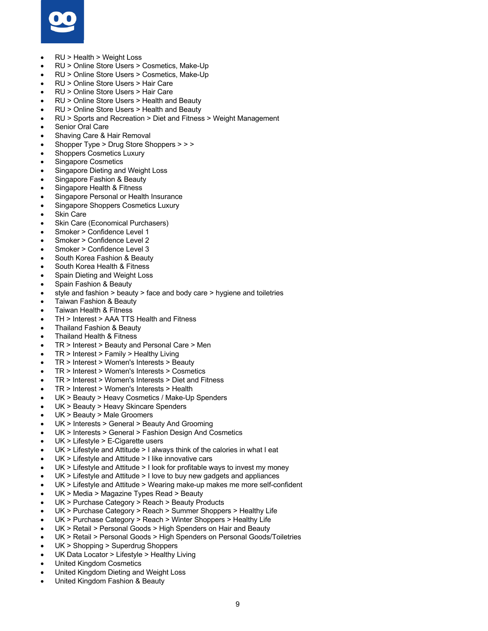

- RU > Health > Weight Loss
- RU > Online Store Users > Cosmetics, Make-Up
- RU > Online Store Users > Cosmetics, Make-Up
- RU > Online Store Users > Hair Care
- RU > Online Store Users > Hair Care
- RU > Online Store Users > Health and Beauty
- RU > Online Store Users > Health and Beauty
- RU > Sports and Recreation > Diet and Fitness > Weight Management
- Senior Oral Care
- Shaving Care & Hair Removal
- Shopper Type > Drug Store Shoppers > > >
- Shoppers Cosmetics Luxury
- Singapore Cosmetics
- Singapore Dieting and Weight Loss
- Singapore Fashion & Beauty
- Singapore Health & Fitness
- Singapore Personal or Health Insurance
- Singapore Shoppers Cosmetics Luxury
- **Skin Care**
- Skin Care (Economical Purchasers)
- Smoker > Confidence Level 1
- Smoker > Confidence Level 2
- Smoker > Confidence Level 3
- South Korea Fashion & Beauty
- South Korea Health & Fitness
- Spain Dieting and Weight Loss
- Spain Fashion & Beauty
- style and fashion > beauty > face and body care > hygiene and toiletries
- Taiwan Fashion & Beauty
- Taiwan Health & Fitness
- TH > Interest > AAA TTS Health and Fitness
- Thailand Fashion & Beauty
- Thailand Health & Fitness
- TR > Interest > Beauty and Personal Care > Men
- TR > Interest > Family > Healthy Living
- TR > Interest > Women's Interests > Beauty
- TR > Interest > Women's Interests > Cosmetics
- TR > Interest > Women's Interests > Diet and Fitness
- TR > Interest > Women's Interests > Health
- UK > Beauty > Heavy Cosmetics / Make-Up Spenders
- UK > Beauty > Heavy Skincare Spenders
- UK > Beauty > Male Groomers
- UK > Interests > General > Beauty And Grooming
- UK > Interests > General > Fashion Design And Cosmetics
- UK > Lifestyle > E-Cigarette users
- UK > Lifestyle and Attitude > I always think of the calories in what I eat
- UK > Lifestyle and Attitude > I like innovative cars
- UK > Lifestyle and Attitude > I look for profitable ways to invest my money
- UK > Lifestyle and Attitude > I love to buy new gadgets and appliances
- UK > Lifestyle and Attitude > Wearing make-up makes me more self-confident
- UK > Media > Magazine Types Read > Beauty
- UK > Purchase Category > Reach > Beauty Products
- UK > Purchase Category > Reach > Summer Shoppers > Healthy Life
- UK > Purchase Category > Reach > Winter Shoppers > Healthy Life
- UK > Retail > Personal Goods > High Spenders on Hair and Beauty
- UK > Retail > Personal Goods > High Spenders on Personal Goods/Toiletries
- UK > Shopping > Superdrug Shoppers
- UK Data Locator > Lifestyle > Healthy Living
- United Kingdom Cosmetics
- United Kingdom Dieting and Weight Loss
- United Kingdom Fashion & Beauty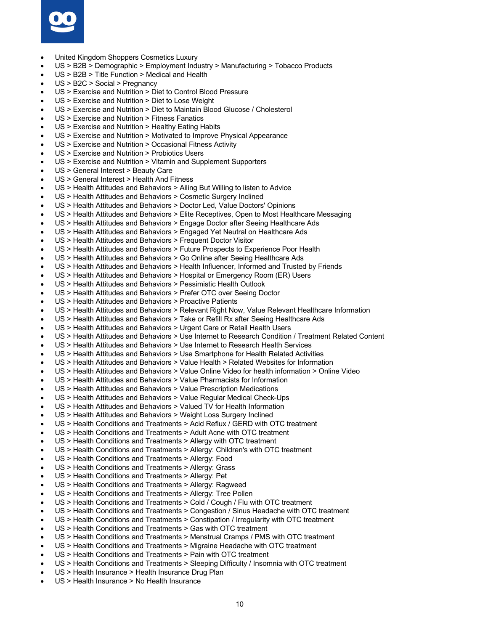

- United Kingdom Shoppers Cosmetics Luxury
- US > B2B > Demographic > Employment Industry > Manufacturing > Tobacco Products
- US > B2B > Title Function > Medical and Health
- US > B2C > Social > Pregnancy
- US > Exercise and Nutrition > Diet to Control Blood Pressure
- US > Exercise and Nutrition > Diet to Lose Weight
- US > Exercise and Nutrition > Diet to Maintain Blood Glucose / Cholesterol
- US > Exercise and Nutrition > Fitness Fanatics
- US > Exercise and Nutrition > Healthy Eating Habits
- US > Exercise and Nutrition > Motivated to Improve Physical Appearance
- US > Exercise and Nutrition > Occasional Fitness Activity
- US > Exercise and Nutrition > Probiotics Users
- US > Exercise and Nutrition > Vitamin and Supplement Supporters
- US > General Interest > Beauty Care
- US > General Interest > Health And Fitness
- US > Health Attitudes and Behaviors > Ailing But Willing to listen to Advice
- US > Health Attitudes and Behaviors > Cosmetic Surgery Inclined
- US > Health Attitudes and Behaviors > Doctor Led, Value Doctors' Opinions
- US > Health Attitudes and Behaviors > Elite Receptives, Open to Most Healthcare Messaging
- US > Health Attitudes and Behaviors > Engage Doctor after Seeing Healthcare Ads
- US > Health Attitudes and Behaviors > Engaged Yet Neutral on Healthcare Ads
- US > Health Attitudes and Behaviors > Frequent Doctor Visitor
- US > Health Attitudes and Behaviors > Future Prospects to Experience Poor Health
- US > Health Attitudes and Behaviors > Go Online after Seeing Healthcare Ads
- US > Health Attitudes and Behaviors > Health Influencer, Informed and Trusted by Friends
- US > Health Attitudes and Behaviors > Hospital or Emergency Room (ER) Users
- US > Health Attitudes and Behaviors > Pessimistic Health Outlook
- US > Health Attitudes and Behaviors > Prefer OTC over Seeing Doctor
- US > Health Attitudes and Behaviors > Proactive Patients
- US > Health Attitudes and Behaviors > Relevant Right Now, Value Relevant Healthcare Information
- US > Health Attitudes and Behaviors > Take or Refill Rx after Seeing Healthcare Ads
- US > Health Attitudes and Behaviors > Urgent Care or Retail Health Users
- US > Health Attitudes and Behaviors > Use Internet to Research Condition / Treatment Related Content
- US > Health Attitudes and Behaviors > Use Internet to Research Health Services
- US > Health Attitudes and Behaviors > Use Smartphone for Health Related Activities
- US > Health Attitudes and Behaviors > Value Health > Related Websites for Information
- US > Health Attitudes and Behaviors > Value Online Video for health information > Online Video
- US > Health Attitudes and Behaviors > Value Pharmacists for Information
- US > Health Attitudes and Behaviors > Value Prescription Medications
- US > Health Attitudes and Behaviors > Value Regular Medical Check-Ups
- US > Health Attitudes and Behaviors > Valued TV for Health Information
- US > Health Attitudes and Behaviors > Weight Loss Surgery Inclined
- US > Health Conditions and Treatments > Acid Reflux / GERD with OTC treatment
- US > Health Conditions and Treatments > Adult Acne with OTC treatment
- US > Health Conditions and Treatments > Allergy with OTC treatment
- US > Health Conditions and Treatments > Allergy: Children's with OTC treatment
- US > Health Conditions and Treatments > Allergy: Food
- US > Health Conditions and Treatments > Allergy: Grass
- US > Health Conditions and Treatments > Allergy: Pet
- US > Health Conditions and Treatments > Allergy: Ragweed
- US > Health Conditions and Treatments > Allergy: Tree Pollen
- US > Health Conditions and Treatments > Cold / Cough / Flu with OTC treatment
- US > Health Conditions and Treatments > Congestion / Sinus Headache with OTC treatment
- US > Health Conditions and Treatments > Constipation / Irregularity with OTC treatment
- US > Health Conditions and Treatments > Gas with OTC treatment
- US > Health Conditions and Treatments > Menstrual Cramps / PMS with OTC treatment
- US > Health Conditions and Treatments > Migraine Headache with OTC treatment
- US > Health Conditions and Treatments > Pain with OTC treatment
- US > Health Conditions and Treatments > Sleeping Difficulty / Insomnia with OTC treatment
- US > Health Insurance > Health Insurance Drug Plan
- US > Health Insurance > No Health Insurance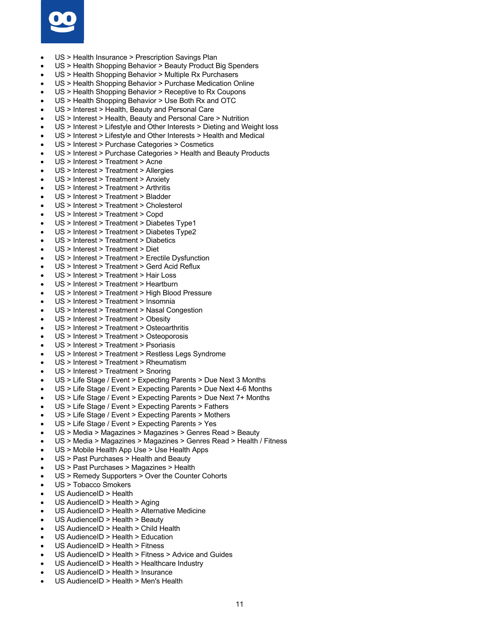

- US > Health Insurance > Prescription Savings Plan
- US > Health Shopping Behavior > Beauty Product Big Spenders
- US > Health Shopping Behavior > Multiple Rx Purchasers
- US > Health Shopping Behavior > Purchase Medication Online
- US > Health Shopping Behavior > Receptive to Rx Coupons
- US > Health Shopping Behavior > Use Both Rx and OTC
- US > Interest > Health, Beauty and Personal Care
- US > Interest > Health, Beauty and Personal Care > Nutrition
- US > Interest > Lifestyle and Other Interests > Dieting and Weight loss
- US > Interest > Lifestyle and Other Interests > Health and Medical
- US > Interest > Purchase Categories > Cosmetics
- US > Interest > Purchase Categories > Health and Beauty Products
- US > Interest > Treatment > Acne
- US > Interest > Treatment > Allergies
- US > Interest > Treatment > Anxiety
- US > Interest > Treatment > Arthritis
- US > Interest > Treatment > Bladder
- US > Interest > Treatment > Cholesterol
- US > Interest > Treatment > Copd
- US > Interest > Treatment > Diabetes Type1
- US > Interest > Treatment > Diabetes Type2
- US > Interest > Treatment > Diabetics
- US > Interest > Treatment > Diet
- US > Interest > Treatment > Erectile Dysfunction
- US > Interest > Treatment > Gerd Acid Reflux
- US > Interest > Treatment > Hair Loss
- US > Interest > Treatment > Heartburn
- US > Interest > Treatment > High Blood Pressure
- US > Interest > Treatment > Insomnia
- US > Interest > Treatment > Nasal Congestion
- US > Interest > Treatment > Obesity
- US > Interest > Treatment > Osteoarthritis
- US > Interest > Treatment > Osteoporosis
- US > Interest > Treatment > Psoriasis
- US > Interest > Treatment > Restless Legs Syndrome
- US > Interest > Treatment > Rheumatism
- US > Interest > Treatment > Snoring
- US > Life Stage / Event > Expecting Parents > Due Next 3 Months
- US > Life Stage / Event > Expecting Parents > Due Next 4-6 Months
- US > Life Stage / Event > Expecting Parents > Due Next 7+ Months
- US > Life Stage / Event > Expecting Parents > Fathers
- US > Life Stage / Event > Expecting Parents > Mothers
- US > Life Stage / Event > Expecting Parents > Yes
- US > Media > Magazines > Magazines > Genres Read > Beauty
- US > Media > Magazines > Magazines > Genres Read > Health / Fitness
- US > Mobile Health App Use > Use Health Apps
- US > Past Purchases > Health and Beauty
- US > Past Purchases > Magazines > Health
- US > Remedy Supporters > Over the Counter Cohorts
- US > Tobacco Smokers
- US AudienceID > Health
- US AudienceID > Health > Aging
- US AudienceID > Health > Alternative Medicine
- US AudienceID > Health > Beauty
- US AudienceID > Health > Child Health
- US AudienceID > Health > Education
- US AudienceID > Health > Fitness
- US AudienceID > Health > Fitness > Advice and Guides
- US AudienceID > Health > Healthcare Industry
- US AudienceID > Health > Insurance
- US AudienceID > Health > Men's Health